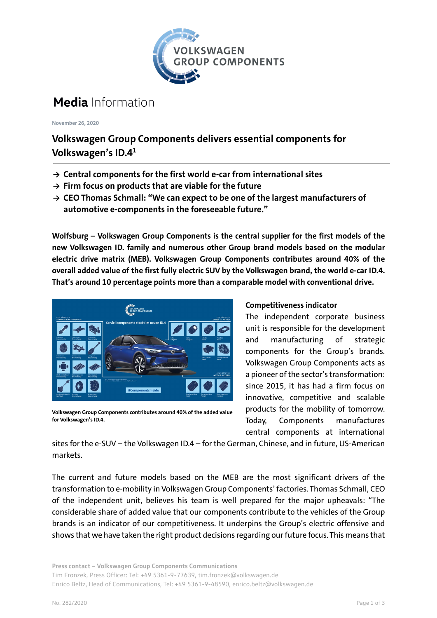

## **Media** Information

**November 26, 2020**

### **Volkswagen Group Components delivers essential components for Volkswagen's ID.41**

- **→ Central components for the first world e-car from international sites**
- **→ Firm focus on products that are viable for the future**
- **→ CEO Thomas Schmall: "We can expect to be one of the largest manufacturers of automotive e-components in the foreseeable future."**

**Wolfsburg – Volkswagen Group Components is the central supplier for the first models of the new Volkswagen ID. family and numerous other Group brand models based on the modular electric drive matrix (MEB). Volkswagen Group Components contributes around 40% of the overall added value of the first fully electric SUV by the Volkswagen brand, the world e-car ID.4. That's around 10 percentage points more than a comparable model with conventional drive.**



**Volkswagen Group Components contributes around 40% of the added value for Volkswagen's ID.4.**

#### **Competitiveness indicator**

The independent corporate business unit is responsible for the development and manufacturing of strategic components for the Group's brands. Volkswagen Group Components acts as a pioneer of the sector's transformation: since 2015, it has had a firm focus on innovative, competitive and scalable products for the mobility of tomorrow. Today, Components manufactures central components at international

sites for the e-SUV – the Volkswagen ID.4 – for the German, Chinese, and in future, US-American markets.

The current and future models based on the MEB are the most significant drivers of the transformation to e-mobility in Volkswagen Group Components' factories. Thomas Schmall, CEO of the independent unit, believes his team is well prepared for the major upheavals: "The considerable share of added value that our components contribute to the vehicles of the Group brands is an indicator of our competitiveness. It underpins the Group's electric offensive and shows that we have taken the right product decisions regarding our future focus. This means that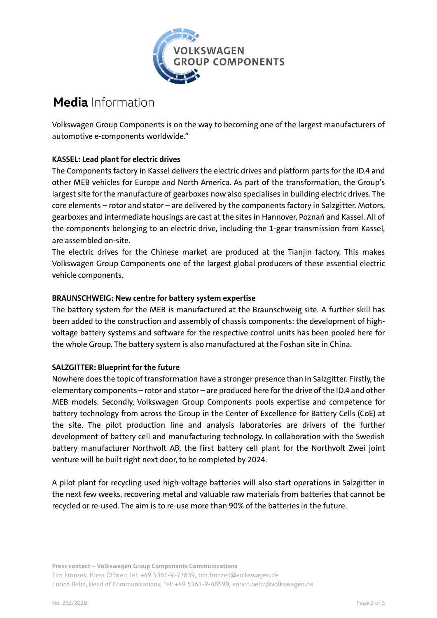

# **Media** Information

Volkswagen Group Components is on the way to becoming one of the largest manufacturers of automotive e-components worldwide."

#### **KASSEL: Lead plant for electric drives**

The Components factory in Kassel delivers the electric drives and platform parts for the ID.4 and other MEB vehicles for Europe and North America. As part of the transformation, the Group's largest site for the manufacture of gearboxes now also specialises in building electric drives. The core elements – rotor and stator – are delivered by the components factory in Salzgitter. Motors, gearboxes and intermediate housings are cast at the sites in Hannover, Poznań and Kassel. All of the components belonging to an electric drive, including the 1-gear transmission from Kassel, are assembled on-site.

The electric drives for the Chinese market are produced at the Tianjin factory. This makes Volkswagen Group Components one of the largest global producers of these essential electric vehicle components.

#### **BRAUNSCHWEIG: New centre for battery system expertise**

The battery system for the MEB is manufactured at the Braunschweig site. A further skill has been added to the construction and assembly of chassis components: the development of highvoltage battery systems and software for the respective control units has been pooled here for the whole Group. The battery system is also manufactured at the Foshan site in China.

#### **SALZGITTER: Blueprint for the future**

Nowhere does the topic of transformation have a stronger presence than in Salzgitter. Firstly, the elementary components – rotor and stator – are produced here for the drive of the ID.4 and other MEB models. Secondly, Volkswagen Group Components pools expertise and competence for battery technology from across the Group in the Center of Excellence for Battery Cells (CoE) at the site. The pilot production line and analysis laboratories are drivers of the further development of battery cell and manufacturing technology. In collaboration with the Swedish battery manufacturer Northvolt AB, the first battery cell plant for the Northvolt Zwei joint venture will be built right next door, to be completed by 2024.

A pilot plant for recycling used high-voltage batteries will also start operations in Salzgitter in the next few weeks, recovering metal and valuable raw materials from batteries that cannot be recycled or re-used. The aim is to re-use more than 90% of the batteries in the future.